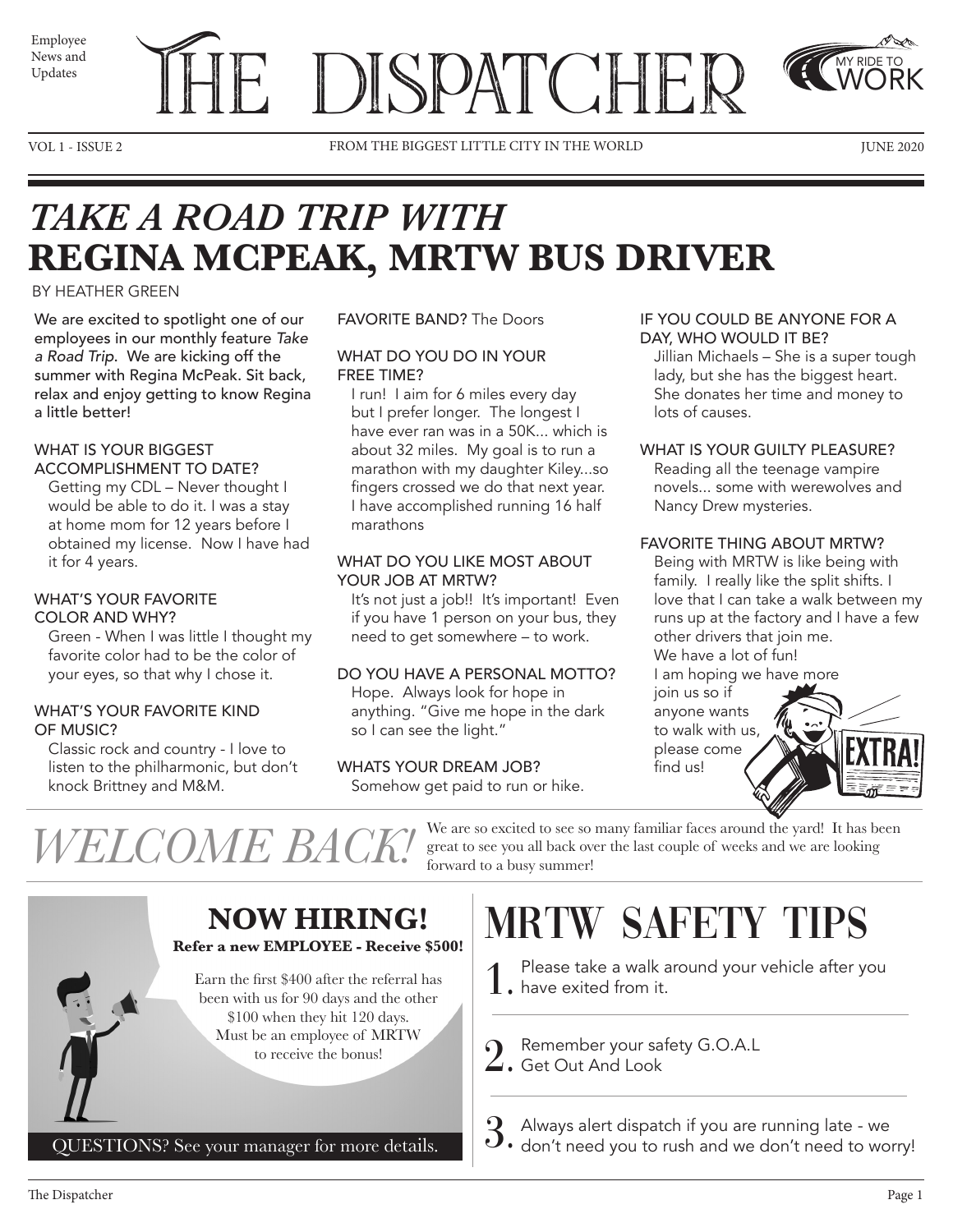News and Updates



VOL 1 - ISSUE 2 FROM THE BIGGEST LITTLE CITY IN THE WORLD JUNE 2020

MY RIDE TO WORK

## *TAKE A ROAD TRIP WITH*  **REGINA MCPEAK, MRTW BUS DRIVER**

#### BY HEATHER GREEN

We are excited to spotlight one of our employees in our monthly feature *Take a Road Trip*. We are kicking off the summer with Regina McPeak. Sit back, relax and enjoy getting to know Regina a little better!

#### WHAT IS YOUR BIGGEST ACCOMPLISHMENT TO DATE?

Getting my CDL – Never thought I would be able to do it. I was a stay at home mom for 12 years before I obtained my license. Now I have had it for 4 years.

#### WHAT'S YOUR FAVORITE COLOR AND WHY?

Green - When I was little I thought my favorite color had to be the color of your eyes, so that why I chose it.

#### WHAT'S YOUR FAVORITE KIND OF MUSIC?

Classic rock and country - I love to listen to the philharmonic, but don't knock Brittney and M&M.

#### FAVORITE BAND? The Doors

#### WHAT DO YOU DO IN YOUR FREE TIME?

I run! I aim for 6 miles every day but I prefer longer. The longest I have ever ran was in a 50K... which is about 32 miles. My goal is to run a marathon with my daughter Kiley...so fingers crossed we do that next year. I have accomplished running 16 half marathons

#### WHAT DO YOU LIKE MOST ABOUT YOUR JOB AT MRTW?

It's not just a job!! It's important! Even if you have 1 person on your bus, they need to get somewhere – to work.

#### DO YOU HAVE A PERSONAL MOTTO?

Hope. Always look for hope in anything. "Give me hope in the dark so I can see the light."

#### WHATS YOUR DREAM JOB?

Somehow get paid to run or hike.

forward to a busy summer!

#### IF YOU COULD BE ANYONE FOR A DAY, WHO WOULD IT BE?

Jillian Michaels – She is a super tough lady, but she has the biggest heart. She donates her time and money to lots of causes.

#### WHAT IS YOUR GUILTY PLEASURE?

Reading all the teenage vampire novels... some with werewolves and Nancy Drew mysteries.

#### FAVORITE THING ABOUT MRTW?

Being with MRTW is like being with family. I really like the split shifts. I love that I can take a walk between my runs up at the factory and I have a few other drivers that join me. We have a lot of fun! I am hoping we have more

join us so if anyone wants to walk with us, please come find us!



 $WELCOME$   $BACK!$  we are so excited to see so many familiar faces around the yard! It has been



# MRTW SAFETY TIPS

great to see you all back over the last couple of weeks and we are looking

- 1. Please take a walk a<br>1. have exited from it. Please take a walk around your vehicle after you
- 

2. Remember your safety G.O.A.L Get Out And Look

 $3.$  Always alert dispatch if you are running late - we don't need you to rush and we don't need to wor don't need you to rush and we don't need to worry!